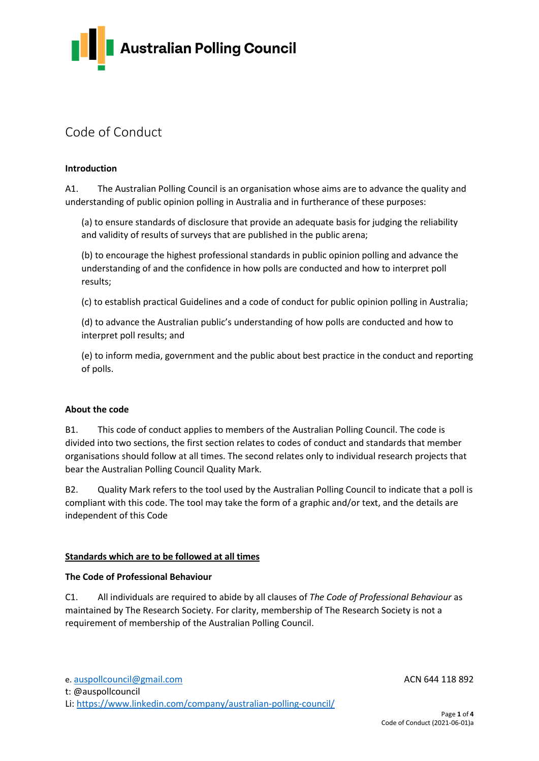

# Code of Conduct

# **Introduction**

A1. The Australian Polling Council is an organisation whose aims are to advance the quality and understanding of public opinion polling in Australia and in furtherance of these purposes:

(a) to ensure standards of disclosure that provide an adequate basis for judging the reliability and validity of results of surveys that are published in the public arena;

(b) to encourage the highest professional standards in public opinion polling and advance the understanding of and the confidence in how polls are conducted and how to interpret poll results;

(c) to establish practical Guidelines and a code of conduct for public opinion polling in Australia;

(d) to advance the Australian public's understanding of how polls are conducted and how to interpret poll results; and

(e) to inform media, government and the public about best practice in the conduct and reporting of polls.

### **About the code**

B1. This code of conduct applies to members of the Australian Polling Council. The code is divided into two sections, the first section relates to codes of conduct and standards that member organisations should follow at all times. The second relates only to individual research projects that bear the Australian Polling Council Quality Mark.

B2. Quality Mark refers to the tool used by the Australian Polling Council to indicate that a poll is compliant with this code. The tool may take the form of a graphic and/or text, and the details are independent of this Code

## **Standards which are to be followed at all times**

### **The Code of Professional Behaviour**

C1. All individuals are required to abide by all clauses of *The Code of Professional Behaviour* as maintained by The Research Society. For clarity, membership of The Research Society is not a requirement of membership of the Australian Polling Council.

t: @auspollcouncil

Li[: https://www.linkedin.com/company/australian-polling-council/](https://www.linkedin.com/company/australian-polling-council/)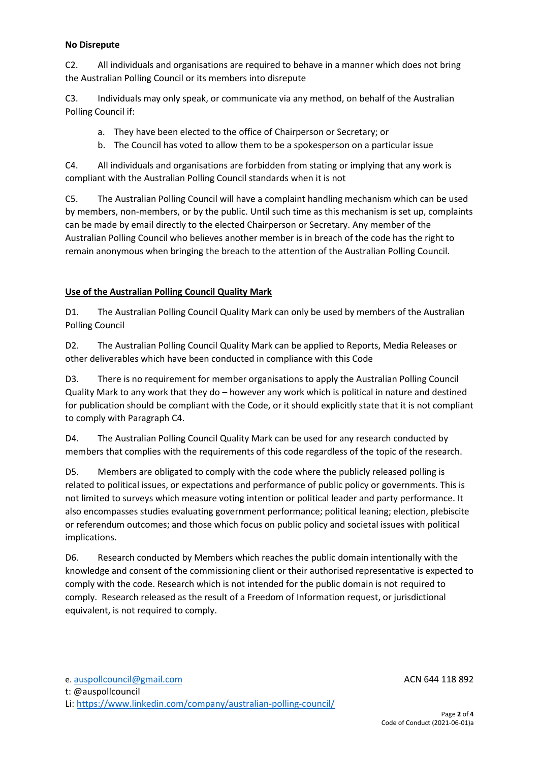## **No Disrepute**

C2. All individuals and organisations are required to behave in a manner which does not bring the Australian Polling Council or its members into disrepute

C3. Individuals may only speak, or communicate via any method, on behalf of the Australian Polling Council if:

- a. They have been elected to the office of Chairperson or Secretary; or
- b. The Council has voted to allow them to be a spokesperson on a particular issue

C4. All individuals and organisations are forbidden from stating or implying that any work is compliant with the Australian Polling Council standards when it is not

C5. The Australian Polling Council will have a complaint handling mechanism which can be used by members, non-members, or by the public. Until such time as this mechanism is set up, complaints can be made by email directly to the elected Chairperson or Secretary. Any member of the Australian Polling Council who believes another member is in breach of the code has the right to remain anonymous when bringing the breach to the attention of the Australian Polling Council.

# **Use of the Australian Polling Council Quality Mark**

D1. The Australian Polling Council Quality Mark can only be used by members of the Australian Polling Council

D2. The Australian Polling Council Quality Mark can be applied to Reports, Media Releases or other deliverables which have been conducted in compliance with this Code

D3. There is no requirement for member organisations to apply the Australian Polling Council Quality Mark to any work that they do – however any work which is political in nature and destined for publication should be compliant with the Code, or it should explicitly state that it is not compliant to comply with Paragraph C4.

D4. The Australian Polling Council Quality Mark can be used for any research conducted by members that complies with the requirements of this code regardless of the topic of the research.

D5. Members are obligated to comply with the code where the publicly released polling is related to political issues, or expectations and performance of public policy or governments. This is not limited to surveys which measure voting intention or political leader and party performance. It also encompasses studies evaluating government performance; political leaning; election, plebiscite or referendum outcomes; and those which focus on public policy and societal issues with political implications.

D6. Research conducted by Members which reaches the public domain intentionally with the knowledge and consent of the commissioning client or their authorised representative is expected to comply with the code. Research which is not intended for the public domain is not required to comply. Research released as the result of a Freedom of Information request, or jurisdictional equivalent, is not required to comply.

t: @auspollcouncil

Li[: https://www.linkedin.com/company/australian-polling-council/](https://www.linkedin.com/company/australian-polling-council/)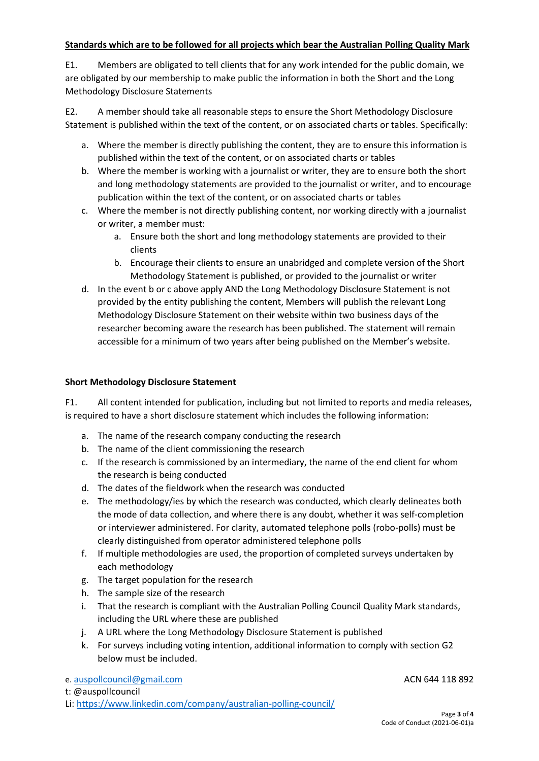# **Standards which are to be followed for all projects which bear the Australian Polling Quality Mark**

E1. Members are obligated to tell clients that for any work intended for the public domain, we are obligated by our membership to make public the information in both the Short and the Long Methodology Disclosure Statements

E2. A member should take all reasonable steps to ensure the Short Methodology Disclosure Statement is published within the text of the content, or on associated charts or tables. Specifically:

- a. Where the member is directly publishing the content, they are to ensure this information is published within the text of the content, or on associated charts or tables
- b. Where the member is working with a journalist or writer, they are to ensure both the short and long methodology statements are provided to the journalist or writer, and to encourage publication within the text of the content, or on associated charts or tables
- c. Where the member is not directly publishing content, nor working directly with a journalist or writer, a member must:
	- a. Ensure both the short and long methodology statements are provided to their clients
	- b. Encourage their clients to ensure an unabridged and complete version of the Short Methodology Statement is published, or provided to the journalist or writer
- d. In the event b or c above apply AND the Long Methodology Disclosure Statement is not provided by the entity publishing the content, Members will publish the relevant Long Methodology Disclosure Statement on their website within two business days of the researcher becoming aware the research has been published. The statement will remain accessible for a minimum of two years after being published on the Member's website.

# **Short Methodology Disclosure Statement**

F1. All content intended for publication, including but not limited to reports and media releases, is required to have a short disclosure statement which includes the following information:

- a. The name of the research company conducting the research
- b. The name of the client commissioning the research
- c. If the research is commissioned by an intermediary, the name of the end client for whom the research is being conducted
- d. The dates of the fieldwork when the research was conducted
- e. The methodology/ies by which the research was conducted, which clearly delineates both the mode of data collection, and where there is any doubt, whether it was self-completion or interviewer administered. For clarity, automated telephone polls (robo-polls) must be clearly distinguished from operator administered telephone polls
- f. If multiple methodologies are used, the proportion of completed surveys undertaken by each methodology
- g. The target population for the research
- h. The sample size of the research
- i. That the research is compliant with the Australian Polling Council Quality Mark standards, including the URL where these are published
- j. A URL where the Long Methodology Disclosure Statement is published
- k. For surveys including voting intention, additional information to comply with section G2 below must be included.

e. [auspollcouncil@gmail.com](mailto:auspollcouncil@gmail.com) **ACN 644 118 892** 

t: @auspollcouncil

Li[: https://www.linkedin.com/company/australian-polling-council/](https://www.linkedin.com/company/australian-polling-council/)